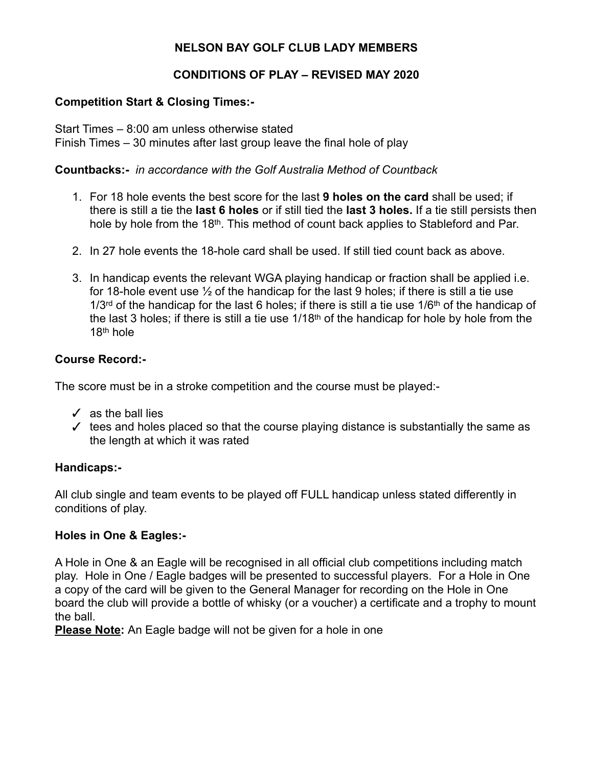### **NELSON BAY GOLF CLUB LADY MEMBERS**

### **CONDITIONS OF PLAY – REVISED MAY 2020**

### **Competition Start & Closing Times:-**

Start Times – 8:00 am unless otherwise stated Finish Times – 30 minutes after last group leave the final hole of play

### **Countbacks:-** *in accordance with the Golf Australia Method of Countback*

- 1. For 18 hole events the best score for the last **9 holes on the card** shall be used; if there is still a tie the **last 6 holes** or if still tied the **last 3 holes.** If a tie still persists then hole by hole from the 18th. This method of count back applies to Stableford and Par.
- 2. In 27 hole events the 18-hole card shall be used. If still tied count back as above.
- 3. In handicap events the relevant WGA playing handicap or fraction shall be applied i.e. for 18-hole event use  $\frac{1}{2}$  of the handicap for the last 9 holes; if there is still a tie use  $1/3$ <sup>rd</sup> of the handicap for the last 6 holes; if there is still a tie use  $1/6$ <sup>th</sup> of the handicap of the last 3 holes; if there is still a tie use 1/18th of the handicap for hole by hole from the 18th hole

### **Course Record:-**

The score must be in a stroke competition and the course must be played:-

- $\checkmark$  as the ball lies
- $\checkmark$  tees and holes placed so that the course playing distance is substantially the same as the length at which it was rated

### **Handicaps:-**

All club single and team events to be played off FULL handicap unless stated differently in conditions of play.

### **Holes in One & Eagles:-**

A Hole in One & an Eagle will be recognised in all official club competitions including match play. Hole in One / Eagle badges will be presented to successful players. For a Hole in One a copy of the card will be given to the General Manager for recording on the Hole in One board the club will provide a bottle of whisky (or a voucher) a certificate and a trophy to mount the ball.

**Please Note:** An Eagle badge will not be given for a hole in one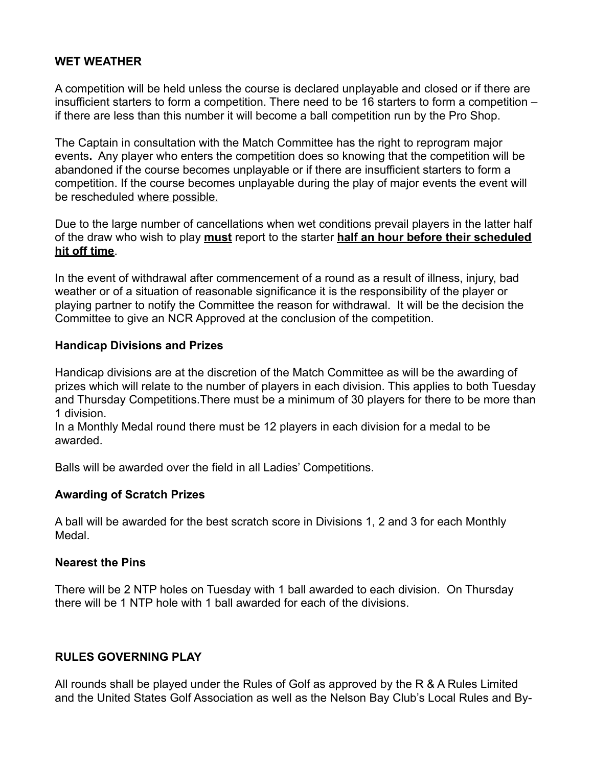### **WET WEATHER**

A competition will be held unless the course is declared unplayable and closed or if there are insufficient starters to form a competition. There need to be 16 starters to form a competition – if there are less than this number it will become a ball competition run by the Pro Shop.

The Captain in consultation with the Match Committee has the right to reprogram major events**.** Any player who enters the competition does so knowing that the competition will be abandoned if the course becomes unplayable or if there are insufficient starters to form a competition. If the course becomes unplayable during the play of major events the event will be rescheduled where possible.

Due to the large number of cancellations when wet conditions prevail players in the latter half of the draw who wish to play **must** report to the starter **half an hour before their scheduled hit off time**.

In the event of withdrawal after commencement of a round as a result of illness, injury, bad weather or of a situation of reasonable significance it is the responsibility of the player or playing partner to notify the Committee the reason for withdrawal. It will be the decision the Committee to give an NCR Approved at the conclusion of the competition.

### **Handicap Divisions and Prizes**

Handicap divisions are at the discretion of the Match Committee as will be the awarding of prizes which will relate to the number of players in each division. This applies to both Tuesday and Thursday Competitions.There must be a minimum of 30 players for there to be more than 1 division.

In a Monthly Medal round there must be 12 players in each division for a medal to be awarded.

Balls will be awarded over the field in all Ladies' Competitions.

### **Awarding of Scratch Prizes**

A ball will be awarded for the best scratch score in Divisions 1, 2 and 3 for each Monthly Medal.

### **Nearest the Pins**

There will be 2 NTP holes on Tuesday with 1 ball awarded to each division. On Thursday there will be 1 NTP hole with 1 ball awarded for each of the divisions.

### **RULES GOVERNING PLAY**

All rounds shall be played under the Rules of Golf as approved by the R & A Rules Limited and the United States Golf Association as well as the Nelson Bay Club's Local Rules and By-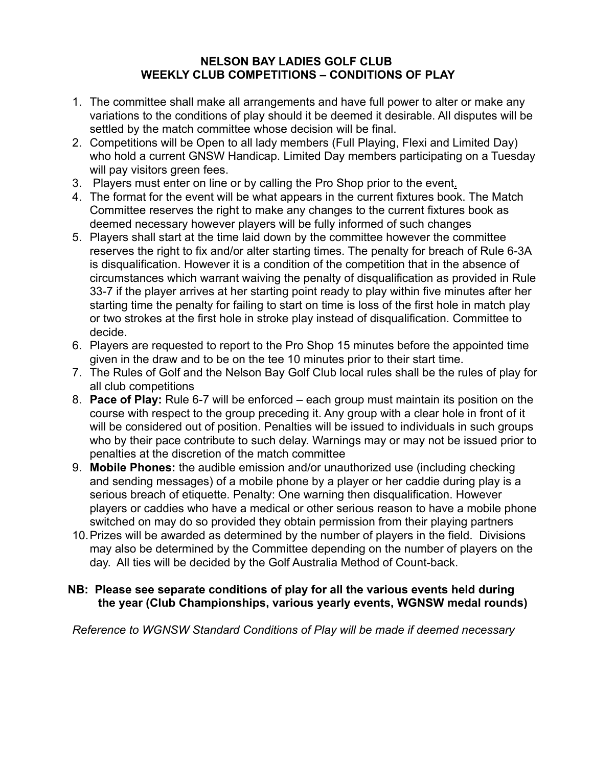### **NELSON BAY LADIES GOLF CLUB WEEKLY CLUB COMPETITIONS – CONDITIONS OF PLAY**

- 1. The committee shall make all arrangements and have full power to alter or make any variations to the conditions of play should it be deemed it desirable. All disputes will be settled by the match committee whose decision will be final.
- 2. Competitions will be Open to all lady members (Full Playing, Flexi and Limited Day) who hold a current GNSW Handicap. Limited Day members participating on a Tuesday will pay visitors green fees.
- 3. Players must enter on line or by calling the Pro Shop prior to the event.
- 4. The format for the event will be what appears in the current fixtures book. The Match Committee reserves the right to make any changes to the current fixtures book as deemed necessary however players will be fully informed of such changes
- 5. Players shall start at the time laid down by the committee however the committee reserves the right to fix and/or alter starting times. The penalty for breach of Rule 6-3A is disqualification. However it is a condition of the competition that in the absence of circumstances which warrant waiving the penalty of disqualification as provided in Rule 33-7 if the player arrives at her starting point ready to play within five minutes after her starting time the penalty for failing to start on time is loss of the first hole in match play or two strokes at the first hole in stroke play instead of disqualification. Committee to decide.
- 6. Players are requested to report to the Pro Shop 15 minutes before the appointed time given in the draw and to be on the tee 10 minutes prior to their start time.
- 7. The Rules of Golf and the Nelson Bay Golf Club local rules shall be the rules of play for all club competitions
- 8. **Pace of Play:** Rule 6-7 will be enforced each group must maintain its position on the course with respect to the group preceding it. Any group with a clear hole in front of it will be considered out of position. Penalties will be issued to individuals in such groups who by their pace contribute to such delay. Warnings may or may not be issued prior to penalties at the discretion of the match committee
- 9. **Mobile Phones:** the audible emission and/or unauthorized use (including checking and sending messages) of a mobile phone by a player or her caddie during play is a serious breach of etiquette. Penalty: One warning then disqualification. However players or caddies who have a medical or other serious reason to have a mobile phone switched on may do so provided they obtain permission from their playing partners
- 10.Prizes will be awarded as determined by the number of players in the field. Divisions may also be determined by the Committee depending on the number of players on the day. All ties will be decided by the Golf Australia Method of Count-back.

### **NB: Please see separate conditions of play for all the various events held during the year (Club Championships, various yearly events, WGNSW medal rounds)**

*Reference to WGNSW Standard Conditions of Play will be made if deemed necessary*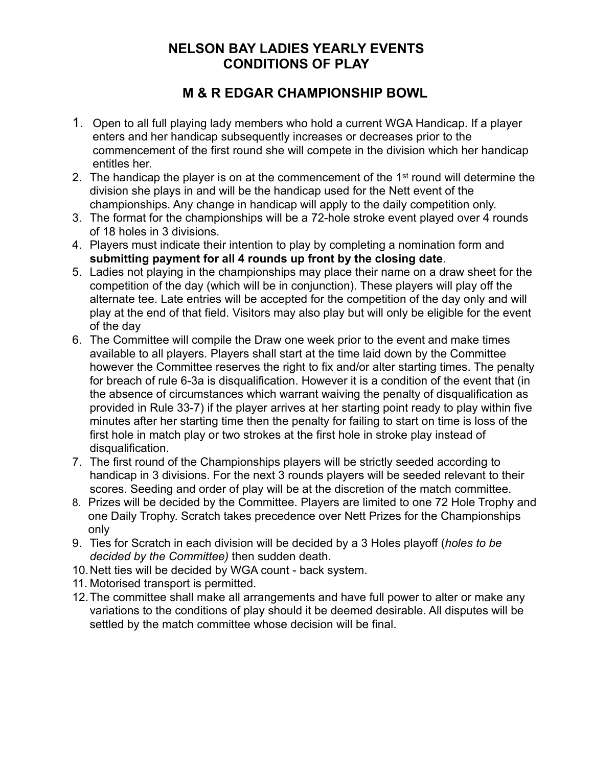### **NELSON BAY LADIES YEARLY EVENTS CONDITIONS OF PLAY**

## **M & R EDGAR CHAMPIONSHIP BOWL**

- 1. Open to all full playing lady members who hold a current WGA Handicap. If a player enters and her handicap subsequently increases or decreases prior to the commencement of the first round she will compete in the division which her handicap entitles her.
- 2. The handicap the player is on at the commencement of the 1st round will determine the division she plays in and will be the handicap used for the Nett event of the championships. Any change in handicap will apply to the daily competition only.
- 3. The format for the championships will be a 72-hole stroke event played over 4 rounds of 18 holes in 3 divisions.
- 4. Players must indicate their intention to play by completing a nomination form and **submitting payment for all 4 rounds up front by the closing date**.
- 5. Ladies not playing in the championships may place their name on a draw sheet for the competition of the day (which will be in conjunction). These players will play off the alternate tee. Late entries will be accepted for the competition of the day only and will play at the end of that field. Visitors may also play but will only be eligible for the event of the day
- 6. The Committee will compile the Draw one week prior to the event and make times available to all players. Players shall start at the time laid down by the Committee however the Committee reserves the right to fix and/or alter starting times. The penalty for breach of rule 6-3a is disqualification. However it is a condition of the event that (in the absence of circumstances which warrant waiving the penalty of disqualification as provided in Rule 33-7) if the player arrives at her starting point ready to play within five minutes after her starting time then the penalty for failing to start on time is loss of the first hole in match play or two strokes at the first hole in stroke play instead of disqualification.
- 7. The first round of the Championships players will be strictly seeded according to handicap in 3 divisions. For the next 3 rounds players will be seeded relevant to their scores. Seeding and order of play will be at the discretion of the match committee.
- 8. Prizes will be decided by the Committee. Players are limited to one 72 Hole Trophy and one Daily Trophy. Scratch takes precedence over Nett Prizes for the Championships only
- 9. Ties for Scratch in each division will be decided by a 3 Holes playoff (*holes to be decided by the Committee)* then sudden death.
- 10.Nett ties will be decided by WGA count back system.
- 11. Motorised transport is permitted.
- 12.The committee shall make all arrangements and have full power to alter or make any variations to the conditions of play should it be deemed desirable. All disputes will be settled by the match committee whose decision will be final.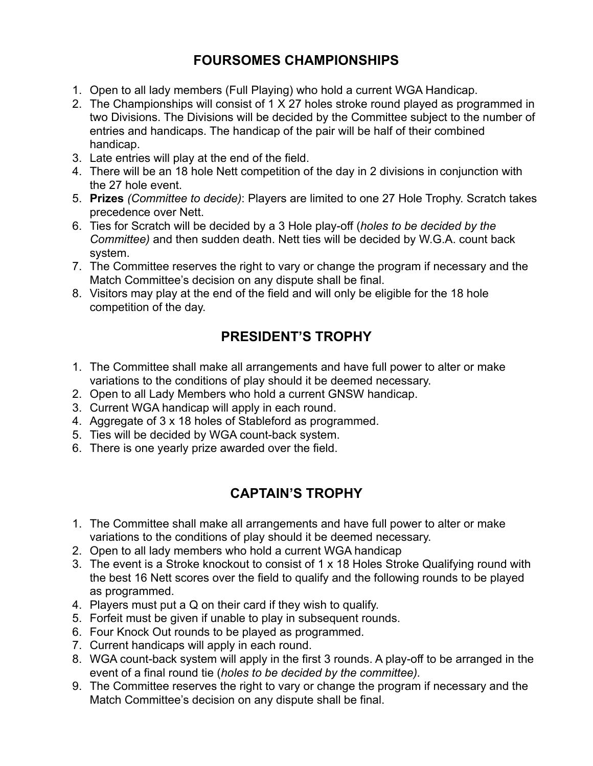# **FOURSOMES CHAMPIONSHIPS**

- 1. Open to all lady members (Full Playing) who hold a current WGA Handicap.
- 2. The Championships will consist of 1 X 27 holes stroke round played as programmed in two Divisions. The Divisions will be decided by the Committee subject to the number of entries and handicaps. The handicap of the pair will be half of their combined handicap.
- 3. Late entries will play at the end of the field.
- 4. There will be an 18 hole Nett competition of the day in 2 divisions in conjunction with the 27 hole event.
- 5. **Prizes** *(Committee to decide)*: Players are limited to one 27 Hole Trophy. Scratch takes precedence over Nett.
- 6. Ties for Scratch will be decided by a 3 Hole play-off (*holes to be decided by the Committee)* and then sudden death. Nett ties will be decided by W.G.A. count back system.
- 7. The Committee reserves the right to vary or change the program if necessary and the Match Committee's decision on any dispute shall be final.
- 8. Visitors may play at the end of the field and will only be eligible for the 18 hole competition of the day.

# **PRESIDENT'S TROPHY**

- 1. The Committee shall make all arrangements and have full power to alter or make variations to the conditions of play should it be deemed necessary.
- 2. Open to all Lady Members who hold a current GNSW handicap.
- 3. Current WGA handicap will apply in each round.
- 4. Aggregate of 3 x 18 holes of Stableford as programmed.
- 5. Ties will be decided by WGA count-back system.
- 6. There is one yearly prize awarded over the field.

# **CAPTAIN'S TROPHY**

- 1. The Committee shall make all arrangements and have full power to alter or make variations to the conditions of play should it be deemed necessary.
- 2. Open to all lady members who hold a current WGA handicap
- 3. The event is a Stroke knockout to consist of 1 x 18 Holes Stroke Qualifying round with the best 16 Nett scores over the field to qualify and the following rounds to be played as programmed.
- 4. Players must put a Q on their card if they wish to qualify.
- 5. Forfeit must be given if unable to play in subsequent rounds.
- 6. Four Knock Out rounds to be played as programmed.
- 7. Current handicaps will apply in each round.
- 8. WGA count-back system will apply in the first 3 rounds. A play-off to be arranged in the event of a final round tie (*holes to be decided by the committee).*
- 9. The Committee reserves the right to vary or change the program if necessary and the Match Committee's decision on any dispute shall be final.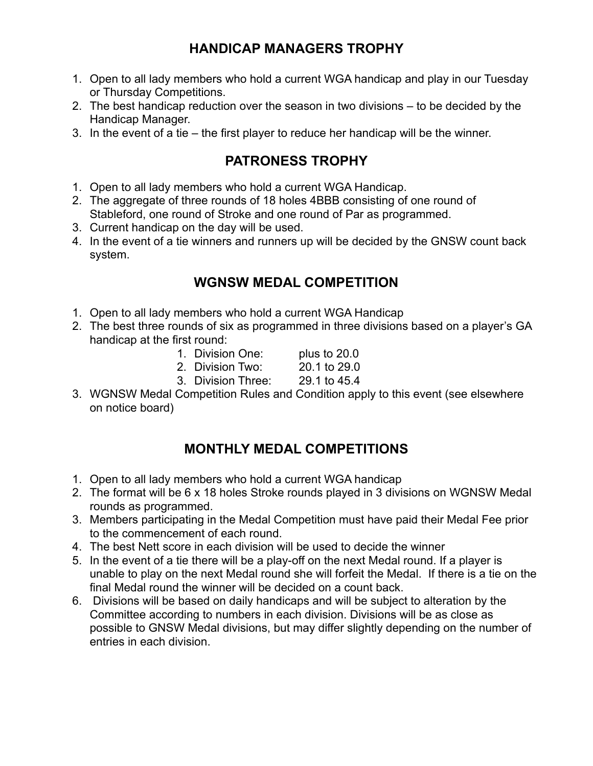## **HANDICAP MANAGERS TROPHY**

- 1. Open to all lady members who hold a current WGA handicap and play in our Tuesday or Thursday Competitions.
- 2. The best handicap reduction over the season in two divisions to be decided by the Handicap Manager.
- 3. In the event of a tie the first player to reduce her handicap will be the winner.

## **PATRONESS TROPHY**

- 1. Open to all lady members who hold a current WGA Handicap.
- 2. The aggregate of three rounds of 18 holes 4BBB consisting of one round of Stableford, one round of Stroke and one round of Par as programmed.
- 3. Current handicap on the day will be used.
- 4. In the event of a tie winners and runners up will be decided by the GNSW count back system.

## **WGNSW MEDAL COMPETITION**

- 1. Open to all lady members who hold a current WGA Handicap
- 2. The best three rounds of six as programmed in three divisions based on a player's GA handicap at the first round:
	- 1. Division One: plus to 20.0
	- 2. Division Two: 20.1 to 29.0
	- 3. Division Three: 29.1 to 45.4
- 3. WGNSW Medal Competition Rules and Condition apply to this event (see elsewhere on notice board)

### **MONTHLY MEDAL COMPETITIONS**

- 1. Open to all lady members who hold a current WGA handicap
- 2. The format will be 6 x 18 holes Stroke rounds played in 3 divisions on WGNSW Medal rounds as programmed.
- 3. Members participating in the Medal Competition must have paid their Medal Fee prior to the commencement of each round.
- 4. The best Nett score in each division will be used to decide the winner
- 5. In the event of a tie there will be a play-off on the next Medal round. If a player is unable to play on the next Medal round she will forfeit the Medal. If there is a tie on the final Medal round the winner will be decided on a count back.
- 6. Divisions will be based on daily handicaps and will be subject to alteration by the Committee according to numbers in each division. Divisions will be as close as possible to GNSW Medal divisions, but may differ slightly depending on the number of entries in each division.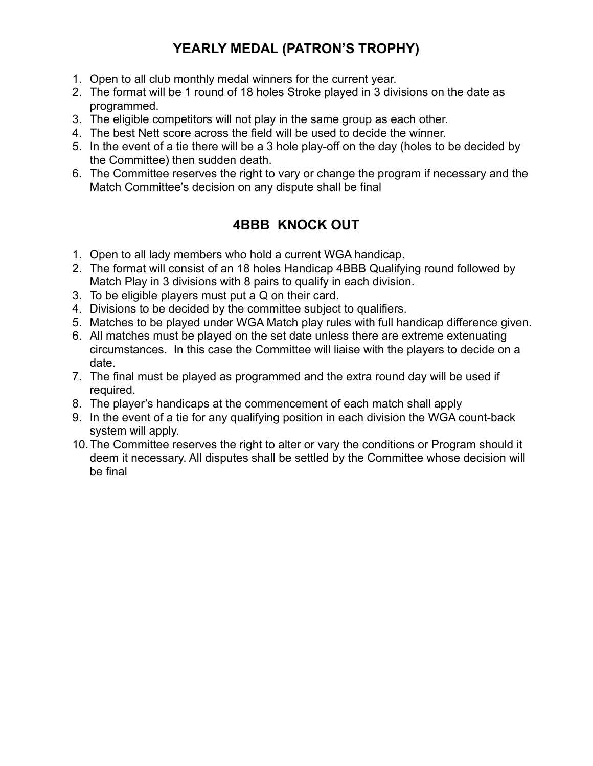# **YEARLY MEDAL (PATRON'S TROPHY)**

- 1. Open to all club monthly medal winners for the current year.
- 2. The format will be 1 round of 18 holes Stroke played in 3 divisions on the date as programmed.
- 3. The eligible competitors will not play in the same group as each other.
- 4. The best Nett score across the field will be used to decide the winner.
- 5. In the event of a tie there will be a 3 hole play-off on the day (holes to be decided by the Committee) then sudden death.
- 6. The Committee reserves the right to vary or change the program if necessary and the Match Committee's decision on any dispute shall be final

# **4BBB KNOCK OUT**

- 1. Open to all lady members who hold a current WGA handicap.
- 2. The format will consist of an 18 holes Handicap 4BBB Qualifying round followed by Match Play in 3 divisions with 8 pairs to qualify in each division.
- 3. To be eligible players must put a Q on their card.
- 4. Divisions to be decided by the committee subject to qualifiers.
- 5. Matches to be played under WGA Match play rules with full handicap difference given.
- 6. All matches must be played on the set date unless there are extreme extenuating circumstances. In this case the Committee will liaise with the players to decide on a date.
- 7. The final must be played as programmed and the extra round day will be used if required.
- 8. The player's handicaps at the commencement of each match shall apply
- 9. In the event of a tie for any qualifying position in each division the WGA count-back system will apply.
- 10.The Committee reserves the right to alter or vary the conditions or Program should it deem it necessary. All disputes shall be settled by the Committee whose decision will be final